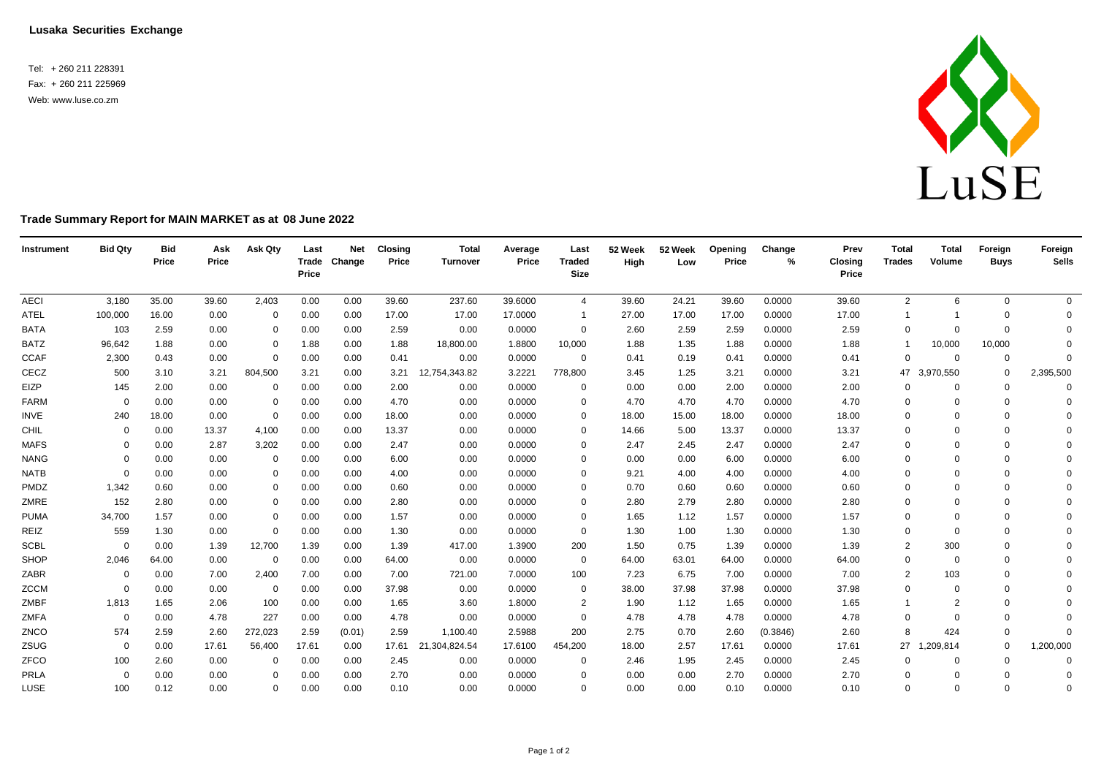**Lusaka Securities Exchange**

Tel: + 260 211 228391 Fax: + 260 211 225969 Web: [www.luse.co.zm](http://www.luse.co.zm/)



## **Trade Summary Report for MAIN MARKET as at 08 June 2022**

| Instrument  | <b>Bid Qty</b> | <b>Bid</b><br>Price | Ask<br>Price | Ask Qty        | Last<br>Price | <b>Net</b><br>Trade Change | <b>Closing</b><br>Price | <b>Total</b><br><b>Turnover</b> | Average<br>Price | Last<br><b>Traded</b><br><b>Size</b> | 52 Week<br>High | 52 Week<br>Low | Opening<br>Price | Change<br>% | Prev<br>Closing<br>Price | <b>Total</b><br><b>Trades</b> | <b>Total</b><br>Volume | Foreign<br><b>Buys</b> | Foreign<br><b>Sells</b> |
|-------------|----------------|---------------------|--------------|----------------|---------------|----------------------------|-------------------------|---------------------------------|------------------|--------------------------------------|-----------------|----------------|------------------|-------------|--------------------------|-------------------------------|------------------------|------------------------|-------------------------|
| <b>AECI</b> | 3,180          | 35.00               | 39.60        | 2,403          | 0.00          | 0.00                       | 39.60                   | 237.60                          | 39.6000          | 4                                    | 39.60           | 24.21          | 39.60            | 0.0000      | 39.60                    | $\overline{2}$                | 6                      | $\mathbf{0}$           | $\overline{0}$          |
| ATEL        | 100,000        | 16.00               | 0.00         | $\Omega$       | 0.00          | 0.00                       | 17.00                   | 17.00                           | 17.0000          |                                      | 27.00           | 17.00          | 17.00            | 0.0000      | 17.00                    |                               |                        | $\Omega$               | $\Omega$                |
| <b>BATA</b> | 103            | 2.59                | 0.00         | 0              | 0.00          | 0.00                       | 2.59                    | 0.00                            | 0.0000           | 0                                    | 2.60            | 2.59           | 2.59             | 0.0000      | 2.59                     | $\Omega$                      | $\Omega$               | $\Omega$               | $\Omega$                |
| <b>BATZ</b> | 96,642         | 1.88                | 0.00         | 0              | 1.88          | 0.00                       | 1.88                    | 18,800.00                       | 1.8800           | 10,000                               | 1.88            | 1.35           | 1.88             | 0.0000      | 1.88                     | -1                            | 10,000                 | 10,000                 | $\Omega$                |
| <b>CCAF</b> | 2,300          | 0.43                | 0.00         | $\mathbf 0$    | 0.00          | 0.00                       | 0.41                    | 0.00                            | 0.0000           | 0                                    | 0.41            | 0.19           | 0.41             | 0.0000      | 0.41                     | $\mathbf 0$                   | $\Omega$               | $\mathbf 0$            | $\Omega$                |
| CECZ        | 500            | 3.10                | 3.21         | 804,500        | 3.21          | 0.00                       | 3.21                    | 12,754,343.82                   | 3.2221           | 778,800                              | 3.45            | 1.25           | 3.21             | 0.0000      | 3.21                     | 47                            | 3,970,550              | $\mathbf 0$            | 2,395,500               |
| EIZP        | 145            | 2.00                | 0.00         | 0              | 0.00          | 0.00                       | 2.00                    | 0.00                            | 0.0000           | 0                                    | 0.00            | 0.00           | 2.00             | 0.0000      | 2.00                     | $\mathbf 0$                   | $\Omega$               | $\Omega$               | $\Omega$                |
| FARM        | $\Omega$       | 0.00                | 0.00         | $\Omega$       | 0.00          | 0.00                       | 4.70                    | 0.00                            | 0.0000           | $\Omega$                             | 4.70            | 4.70           | 4.70             | 0.0000      | 4.70                     | $\Omega$                      | $\Omega$               | $\Omega$               | $\mathbf 0$             |
| <b>INVE</b> | 240            | 18.00               | 0.00         | $\overline{0}$ | 0.00          | 0.00                       | 18.00                   | 0.00                            | 0.0000           | $\Omega$                             | 18.00           | 15.00          | 18.00            | 0.0000      | 18.00                    | $\Omega$                      | $\Omega$               | $\Omega$               | $\Omega$                |
| CHIL        | $\mathbf 0$    | 0.00                | 13.37        | 4,100          | 0.00          | 0.00                       | 13.37                   | 0.00                            | 0.0000           | $\Omega$                             | 14.66           | 5.00           | 13.37            | 0.0000      | 13.37                    | $\mathbf 0$                   | $\Omega$               | $\Omega$               | $\Omega$                |
| <b>MAFS</b> | $\Omega$       | 0.00                | 2.87         | 3,202          | 0.00          | 0.00                       | 2.47                    | 0.00                            | 0.0000           | $\Omega$                             | 2.47            | 2.45           | 2.47             | 0.0000      | 2.47                     | $\mathbf 0$                   | $\Omega$               | $\Omega$               | $\Omega$                |
| <b>NANG</b> | $\Omega$       | 0.00                | 0.00         | 0              | 0.00          | 0.00                       | 6.00                    | 0.00                            | 0.0000           | $\Omega$                             | 0.00            | 0.00           | 6.00             | 0.0000      | 6.00                     | $\mathbf 0$                   | $\Omega$               | $\Omega$               | $\Omega$                |
| <b>NATB</b> | $\Omega$       | 0.00                | 0.00         | $\mathbf 0$    | 0.00          | 0.00                       | 4.00                    | 0.00                            | 0.0000           | $\Omega$                             | 9.21            | 4.00           | 4.00             | 0.0000      | 4.00                     | $\Omega$                      | $\Omega$               | $\Omega$               | $\Omega$                |
| PMDZ        | 1,342          | 0.60                | 0.00         | $\Omega$       | 0.00          | 0.00                       | 0.60                    | 0.00                            | 0.0000           | $\Omega$                             | 0.70            | 0.60           | 0.60             | 0.0000      | 0.60                     | $\Omega$                      | $\Omega$               | $\Omega$               | $\Omega$                |
| ZMRE        | 152            | 2.80                | 0.00         | 0              | 0.00          | 0.00                       | 2.80                    | 0.00                            | 0.0000           | $\Omega$                             | 2.80            | 2.79           | 2.80             | 0.0000      | 2.80                     | $\mathbf 0$                   | $\Omega$               | $\Omega$               | $\Omega$                |
| <b>PUMA</b> | 34,700         | 1.57                | 0.00         | $\mathbf 0$    | 0.00          | 0.00                       | 1.57                    | 0.00                            | 0.0000           | $\Omega$                             | 1.65            | 1.12           | 1.57             | 0.0000      | 1.57                     | $\mathbf 0$                   | $\Omega$               | $\Omega$               | $\Omega$                |
| REIZ        | 559            | 1.30                | 0.00         | $\Omega$       | 0.00          | 0.00                       | 1.30                    | 0.00                            | 0.0000           | $\mathbf{0}$                         | 1.30            | 1.00           | 1.30             | 0.0000      | 1.30                     | $\mathbf 0$                   | $\Omega$               | $\Omega$               | $\Omega$                |
| <b>SCBL</b> | $\Omega$       | 0.00                | 1.39         | 12,700         | 1.39          | 0.00                       | 1.39                    | 417.00                          | 1.3900           | 200                                  | 1.50            | 0.75           | 1.39             | 0.0000      | 1.39                     | 2                             | 300                    | $\Omega$               | $\Omega$                |
| SHOP        | 2,046          | 64.00               | 0.00         | $\overline{0}$ | 0.00          | 0.00                       | 64.00                   | 0.00                            | 0.0000           | $\overline{0}$                       | 64.00           | 63.01          | 64.00            | 0.0000      | 64.00                    | $\mathbf 0$                   | $\Omega$               | $\Omega$               | $\Omega$                |
| ZABR        | $\mathbf 0$    | 0.00                | 7.00         | 2,400          | 7.00          | 0.00                       | 7.00                    | 721.00                          | 7.0000           | 100                                  | 7.23            | 6.75           | 7.00             | 0.0000      | 7.00                     | $\overline{2}$                | 103                    | $\Omega$               | $\Omega$                |
| ZCCM        | 0              | 0.00                | 0.00         | $\overline{0}$ | 0.00          | 0.00                       | 37.98                   | 0.00                            | 0.0000           | 0                                    | 38.00           | 37.98          | 37.98            | 0.0000      | 37.98                    | $\mathbf 0$                   | $\Omega$               | $\Omega$               | $\Omega$                |
| ZMBF        | 1,813          | 1.65                | 2.06         | 100            | 0.00          | 0.00                       | 1.65                    | 3.60                            | 1.8000           | 2                                    | 1.90            | 1.12           | 1.65             | 0.0000      | 1.65                     |                               | $\overline{2}$         | $\Omega$               | $\Omega$                |
| ZMFA        | $\overline{0}$ | 0.00                | 4.78         | 227            | 0.00          | 0.00                       | 4.78                    | 0.00                            | 0.0000           | 0                                    | 4.78            | 4.78           | 4.78             | 0.0000      | 4.78                     | 0                             | $\Omega$               | $\Omega$               | $\Omega$                |
| ZNCO        | 574            | 2.59                | 2.60         | 272,023        | 2.59          | (0.01)                     | 2.59                    | 1,100.40                        | 2.5988           | 200                                  | 2.75            | 0.70           | 2.60             | (0.3846)    | 2.60                     | 8                             | 424                    | $\Omega$               | $\Omega$                |
| ZSUG        | $\mathbf 0$    | 0.00                | 17.61        | 56,400         | 17.61         | 0.00                       | 17.61                   | 21,304,824.54                   | 17.6100          | 454,200                              | 18.00           | 2.57           | 17.61            | 0.0000      | 17.61                    | 27                            | ,209,814               | $\mathbf 0$            | 1,200,000               |
| ZFCO        | 100            | 2.60                | 0.00         | 0              | 0.00          | 0.00                       | 2.45                    | 0.00                            | 0.0000           | 0                                    | 2.46            | 1.95           | 2.45             | 0.0000      | 2.45                     | 0                             |                        | $\Omega$               | 0                       |
| PRLA        | $\Omega$       | 0.00                | 0.00         | $\Omega$       | 0.00          | 0.00                       | 2.70                    | 0.00                            | 0.0000           | $\Omega$                             | 0.00            | 0.00           | 2.70             | 0.0000      | 2.70                     | $\Omega$                      | $\Omega$               | $\Omega$               | 0                       |
| LUSE        | 100            | 0.12                | 0.00         | $\Omega$       | 0.00          | 0.00                       | 0.10                    | 0.00                            | 0.0000           | $\Omega$                             | 0.00            | 0.00           | 0.10             | 0.0000      | 0.10                     | $\Omega$                      | $\Omega$               | $\Omega$               | $\Omega$                |